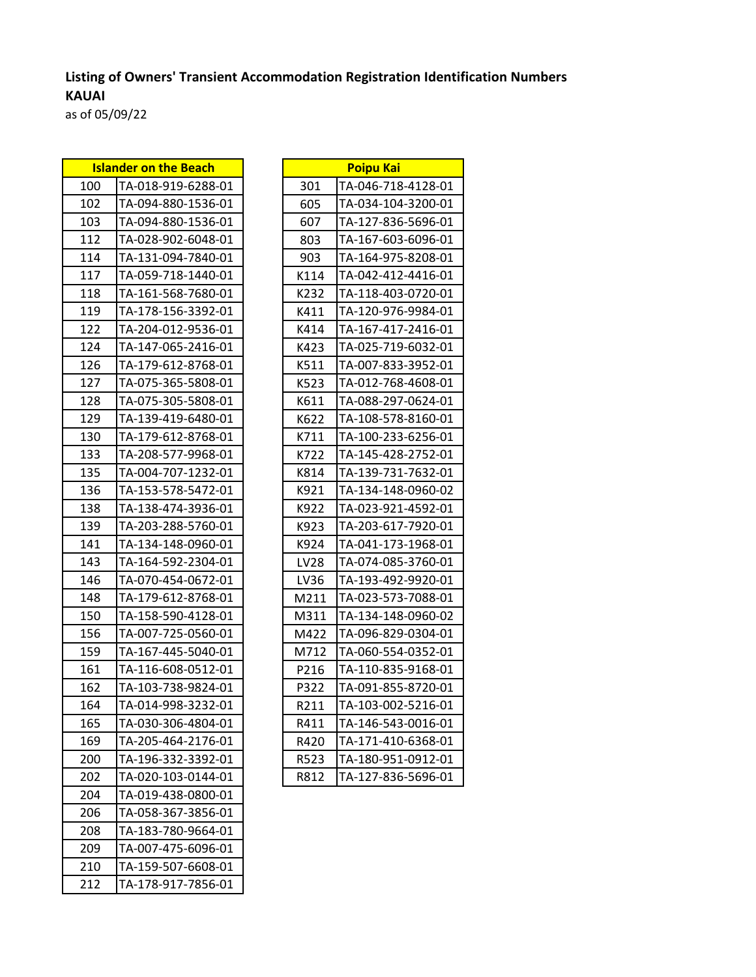## **Listing of Owners' Transient Accommodation Registration Identification Numbers KAUAI**

as of 05/09/22

| <b>Islander on the Beach</b> |                    | <b>Poipu Kai</b> |            |
|------------------------------|--------------------|------------------|------------|
| 100                          | TA-018-919-6288-01 | 301              | TA-046-718 |
| 102                          | TA-094-880-1536-01 | 605              | TA-034-104 |
| 103                          | TA-094-880-1536-01 | 607              | TA-127-83  |
| 112                          | TA-028-902-6048-01 | 803              | TA-167-603 |
| 114                          | TA-131-094-7840-01 | 903              | TA-164-97! |
| 117                          | TA-059-718-1440-01 | K114             | TA-042-412 |
| 118                          | TA-161-568-7680-01 | K232             | TA-118-403 |
| 119                          | TA-178-156-3392-01 | K411             | TA-120-97  |
| 122                          | TA-204-012-9536-01 | K414             | TA-167-41  |
| 124                          | TA-147-065-2416-01 | K423             | TA-025-719 |
| 126                          | TA-179-612-8768-01 | K511             | TA-007-833 |
| 127                          | TA-075-365-5808-01 | K523             | TA-012-768 |
| 128                          | TA-075-305-5808-01 | K611             | TA-088-29  |
| 129                          | TA-139-419-6480-01 | K622             | TA-108-578 |
| 130                          | TA-179-612-8768-01 | K711             | TA-100-233 |
| 133                          | TA-208-577-9968-01 | K722             | TA-145-428 |
| 135                          | TA-004-707-1232-01 | K814             | TA-139-73: |
| 136                          | TA-153-578-5472-01 | K921             | TA-134-148 |
| 138                          | TA-138-474-3936-01 | K922             | TA-023-92: |
| 139                          | TA-203-288-5760-01 | K923             | TA-203-61  |
| 141                          | TA-134-148-0960-01 | K924             | TA-041-173 |
| 143                          | TA-164-592-2304-01 | LV28             | TA-074-08! |
| 146                          | TA-070-454-0672-01 | LV36             | TA-193-492 |
| 148                          | TA-179-612-8768-01 | M211             | TA-023-573 |
| 150                          | TA-158-590-4128-01 | M311             | TA-134-148 |
| 156                          | TA-007-725-0560-01 | M422             | TA-096-829 |
| 159                          | TA-167-445-5040-01 | M712             | TA-060-554 |
| 161                          | TA-116-608-0512-01 | P216             | TA-110-83! |
| 162                          | TA-103-738-9824-01 | P322             | TA-091-85! |
| 164                          | TA-014-998-3232-01 | R211             | TA-103-002 |
| 165                          | TA-030-306-4804-01 | R411             | TA-146-543 |
| 169                          | TA-205-464-2176-01 | R420             | TA-171-41  |
| 200                          | TA-196-332-3392-01 | R523             | TA-180-95: |
| 202                          | TA-020-103-0144-01 | R812             | TA-127-83  |
| 204                          | TA-019-438-0800-01 |                  |            |
| 206                          | TA-058-367-3856-01 |                  |            |
| 208                          | TA-183-780-9664-01 |                  |            |
| 209                          | TA-007-475-6096-01 |                  |            |
| 210                          | TA-159-507-6608-01 |                  |            |
| 212                          | TA-178-917-7856-01 |                  |            |

| <b>Islander on the Beach</b> |                    |      | <b>Poipu Kai</b>   |
|------------------------------|--------------------|------|--------------------|
| 100                          | TA-018-919-6288-01 | 301  | TA-046-718-4128-01 |
| 102                          | TA-094-880-1536-01 | 605  | TA-034-104-3200-01 |
| 103                          | TA-094-880-1536-01 | 607  | TA-127-836-5696-01 |
| 112                          | TA-028-902-6048-01 | 803  | TA-167-603-6096-01 |
| 114                          | TA-131-094-7840-01 | 903  | TA-164-975-8208-01 |
| 117                          | TA-059-718-1440-01 | K114 | TA-042-412-4416-01 |
| 118                          | TA-161-568-7680-01 | K232 | TA-118-403-0720-01 |
| 119                          | TA-178-156-3392-01 | K411 | TA-120-976-9984-01 |
| 122                          | TA-204-012-9536-01 | K414 | TA-167-417-2416-01 |
| 124                          | TA-147-065-2416-01 | K423 | TA-025-719-6032-01 |
| 126                          | TA-179-612-8768-01 | K511 | TA-007-833-3952-01 |
| 127                          | TA-075-365-5808-01 | K523 | TA-012-768-4608-01 |
| 128                          | TA-075-305-5808-01 | K611 | TA-088-297-0624-01 |
| 129                          | TA-139-419-6480-01 | K622 | TA-108-578-8160-01 |
| 130                          | TA-179-612-8768-01 | K711 | TA-100-233-6256-01 |
| 133                          | TA-208-577-9968-01 | K722 | TA-145-428-2752-01 |
| 135                          | TA-004-707-1232-01 | K814 | TA-139-731-7632-01 |
| 136                          | TA-153-578-5472-01 | K921 | TA-134-148-0960-02 |
| 138                          | TA-138-474-3936-01 | K922 | TA-023-921-4592-01 |
| 139                          | TA-203-288-5760-01 | K923 | TA-203-617-7920-01 |
| 141                          | TA-134-148-0960-01 | K924 | TA-041-173-1968-01 |
| 143                          | TA-164-592-2304-01 | LV28 | TA-074-085-3760-01 |
| 146                          | TA-070-454-0672-01 | LV36 | TA-193-492-9920-01 |
| 148                          | TA-179-612-8768-01 | M211 | TA-023-573-7088-01 |
| 150                          | TA-158-590-4128-01 | M311 | TA-134-148-0960-02 |
| 156                          | TA-007-725-0560-01 | M422 | TA-096-829-0304-01 |
| 159                          | TA-167-445-5040-01 | M712 | TA-060-554-0352-01 |
| 161                          | TA-116-608-0512-01 | P216 | TA-110-835-9168-01 |
| 162                          | TA-103-738-9824-01 | P322 | TA-091-855-8720-01 |
| 164                          | TA-014-998-3232-01 | R211 | TA-103-002-5216-01 |
| 165                          | TA-030-306-4804-01 | R411 | TA-146-543-0016-01 |
| 169                          | TA-205-464-2176-01 | R420 | TA-171-410-6368-01 |
| 200                          | TA-196-332-3392-01 | R523 | TA-180-951-0912-01 |
| 202                          | TA-020-103-0144-01 | R812 | TA-127-836-5696-01 |